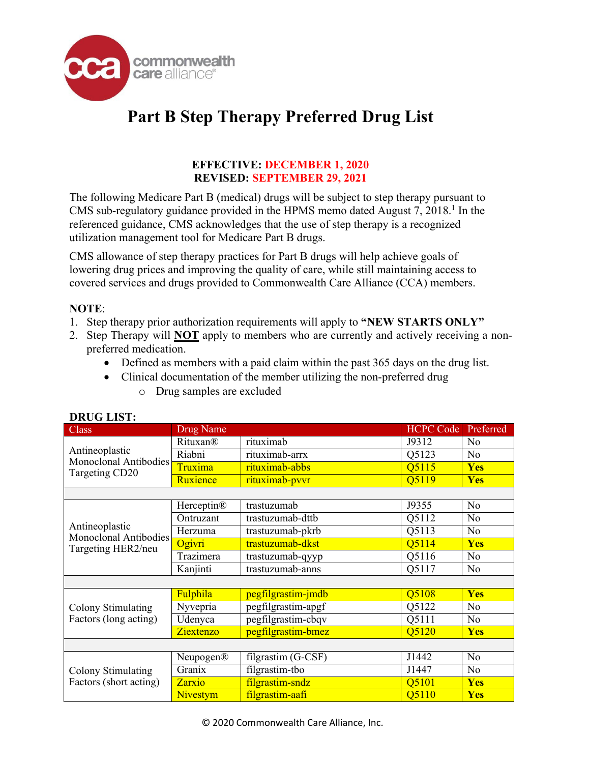

# **Part B Step Therapy Preferred Drug List**

### **EFFECTIVE: DECEMBER 1, 2020 REVISED: SEPTEMBER 29, 2021**

The following Medicare Part B (medical) drugs will be subject to step therapy pursuant to CMS sub-regulatory guidance provided in the HPMS memo dated August  $7, 2018$ <sup>1</sup> In the referenced guidance, CMS acknowledges that the use of step therapy is a recognized utilization management tool for Medicare Part B drugs.

CMS allowance of step therapy practices for Part B drugs will help achieve goals of lowering drug prices and improving the quality of care, while still maintaining access to covered services and drugs provided to Commonwealth Care Alliance (CCA) members.

#### **NOTE**:

- 1. Step therapy prior authorization requirements will apply to **"NEW STARTS ONLY"**
- 2. Step Therapy will **NOT** apply to members who are currently and actively receiving a nonpreferred medication.
	- Defined as members with a <u>paid claim</u> within the past 365 days on the drug list.
	- Clinical documentation of the member utilizing the non-preferred drug o Drug samples are excluded

| рися пріз                                                 |               |                    |                  |                |  |  |  |
|-----------------------------------------------------------|---------------|--------------------|------------------|----------------|--|--|--|
| Class                                                     | Drug Name     |                    | <b>HCPC Code</b> | Preferred      |  |  |  |
| Antineoplastic<br>Monoclonal Antibodies<br>Targeting CD20 | Rituxan®      | rituximab          | J9312            | No             |  |  |  |
|                                                           | Riabni        | rituximab-arrx     | Q5123            | N <sub>o</sub> |  |  |  |
|                                                           | Truxima       | rituximab-abbs     | Q5115            | <b>Yes</b>     |  |  |  |
|                                                           | Ruxience      | rituximab-pvvr     | Q5119            | <b>Yes</b>     |  |  |  |
|                                                           |               |                    |                  |                |  |  |  |
| Antineoplastic<br>Monoclonal Antibodies                   | Herceptin®    | trastuzumab        | J9355            | N <sub>o</sub> |  |  |  |
|                                                           | Ontruzant     | trastuzumab-dttb   | Q5112            | N <sub>o</sub> |  |  |  |
|                                                           | Herzuma       | trastuzumab-pkrb   | Q5113            | N <sub>o</sub> |  |  |  |
| Targeting HER2/neu                                        | Ogivri        | trastuzumab-dkst   | Q5114            | <b>Yes</b>     |  |  |  |
|                                                           | Trazimera     | trastuzumab-qyyp   | Q5116            | N <sub>o</sub> |  |  |  |
|                                                           | Kanjinti      | trastuzumab-anns   | Q5117            | N <sub>o</sub> |  |  |  |
|                                                           |               |                    |                  |                |  |  |  |
| Colony Stimulating<br>Factors (long acting)               | Fulphila      | pegfilgrastim-jmdb | Q5108            | <b>Yes</b>     |  |  |  |
|                                                           | Nyvepria      | pegfilgrastim-apgf | Q5122            | N <sub>o</sub> |  |  |  |
|                                                           | Udenyca       | pegfilgrastim-cbqv | Q5111            | No             |  |  |  |
|                                                           | Ziextenzo     | pegfilgrastim-bmez | Q5120            | <b>Yes</b>     |  |  |  |
|                                                           |               |                    |                  |                |  |  |  |
| Colony Stimulating<br>Factors (short acting)              | Neupogen®     | filgrastim (G-CSF) | J1442            | N <sub>o</sub> |  |  |  |
|                                                           | Granix        | filgrastim-tbo     | J1447            | N <sub>o</sub> |  |  |  |
|                                                           | <b>Zarxio</b> | filgrastim-sndz    | Q5101            | <b>Yes</b>     |  |  |  |
|                                                           | Nivestym      | filgrastim-aafi    | Q5110            | <b>Yes</b>     |  |  |  |

### **DRUG LIST:**

© 2020 Commonwealth Care Alliance, Inc.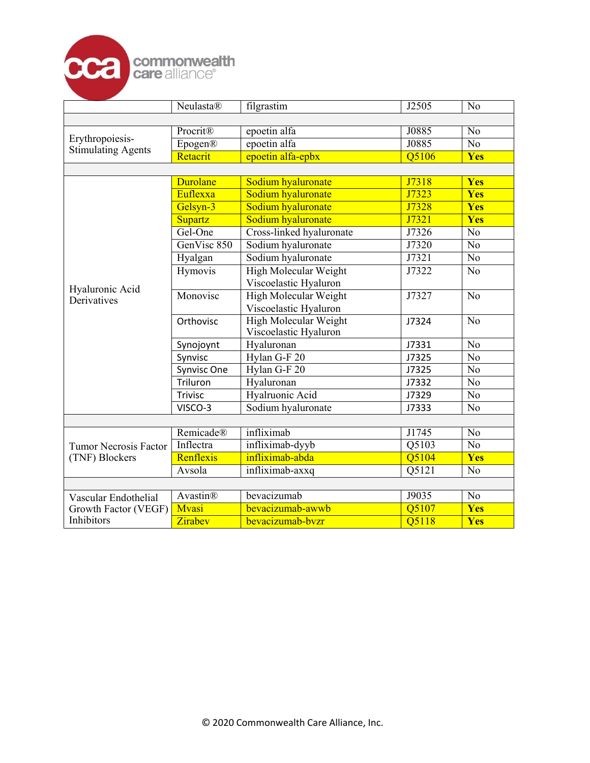

**commonwealth**<br>**care** alliance®

|                                                | <b>Neulasta®</b> | filgrastim               | J2505 | $\overline{No}$ |  |  |  |
|------------------------------------------------|------------------|--------------------------|-------|-----------------|--|--|--|
|                                                |                  |                          |       |                 |  |  |  |
| Erythropoiesis-<br>Stimulating Agents          | Procrit®         | epoetin alfa             | J0885 | $\overline{No}$ |  |  |  |
|                                                | Epogen®          | epoetin alfa             | J0885 | $\overline{No}$ |  |  |  |
|                                                | Retacrit         | epoetin alfa-epbx        | Q5106 | <b>Yes</b>      |  |  |  |
|                                                |                  |                          |       |                 |  |  |  |
|                                                | Durolane         | Sodium hyaluronate       | J7318 | Yes             |  |  |  |
|                                                | Euflexxa         | Sodium hyaluronate       | J7323 | <b>Yes</b>      |  |  |  |
|                                                | Gelsyn-3         | Sodium hyaluronate       | J7328 | Yes             |  |  |  |
|                                                | <b>Supartz</b>   | Sodium hyaluronate       | J7321 | <b>Yes</b>      |  |  |  |
|                                                | Gel-One          | Cross-linked hyaluronate | J7326 | N <sub>o</sub>  |  |  |  |
|                                                | GenVisc 850      | Sodium hyaluronate       | J7320 | N <sub>o</sub>  |  |  |  |
|                                                | Hyalgan          | Sodium hyaluronate       | J7321 | $\overline{No}$ |  |  |  |
|                                                | Hymovis          | High Molecular Weight    | J7322 | N <sub>o</sub>  |  |  |  |
| Hyaluronic Acid                                |                  | Viscoelastic Hyaluron    |       |                 |  |  |  |
| Derivatives                                    | Monovisc         | High Molecular Weight    | J7327 | N <sub>o</sub>  |  |  |  |
|                                                |                  | Viscoelastic Hyaluron    |       |                 |  |  |  |
|                                                | Orthovisc        | High Molecular Weight    | J7324 | N <sub>o</sub>  |  |  |  |
|                                                |                  | Viscoelastic Hyaluron    |       |                 |  |  |  |
|                                                | Synojoynt        | Hyaluronan               | J7331 | N <sub>o</sub>  |  |  |  |
|                                                | Synvisc          | Hylan G-F 20             | J7325 | N <sub>o</sub>  |  |  |  |
|                                                | Synvisc One      | Hylan G-F 20             | J7325 | N <sub>o</sub>  |  |  |  |
|                                                | Triluron         | Hyaluronan               | J7332 | N <sub>o</sub>  |  |  |  |
|                                                | <b>Trivisc</b>   | Hyalruonic Acid          | J7329 | No              |  |  |  |
|                                                | VISCO-3          | Sodium hyaluronate       | J7333 | N <sub>o</sub>  |  |  |  |
|                                                |                  |                          |       |                 |  |  |  |
| <b>Tumor Necrosis Factor</b><br>(TNF) Blockers | Remicade®        | infliximab               | J1745 | $\overline{No}$ |  |  |  |
|                                                | Inflectra        | infliximab-dyyb          | Q5103 | N <sub>o</sub>  |  |  |  |
|                                                | Renflexis        | infliximab-abda          | Q5104 | <b>Yes</b>      |  |  |  |
|                                                | Avsola           | infliximab-axxq          | Q5121 | No              |  |  |  |
|                                                |                  |                          |       |                 |  |  |  |
| Vascular Endothelial                           | Avastin®         | bevacizumab              | J9035 | No              |  |  |  |
| Growth Factor (VEGF)                           | Mvasi            | bevacizumab-awwb         | Q5107 | <b>Yes</b>      |  |  |  |
| Inhibitors                                     | <b>Zirabev</b>   | bevacizumab-bvzr         | Q5118 | Yes             |  |  |  |